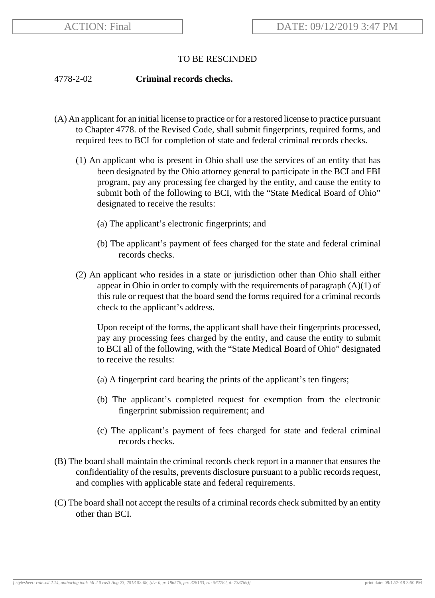## TO BE RESCINDED

## 4778-2-02 **Criminal records checks.**

- (A) An applicant for an initial license to practice or for a restored license to practice pursuant to Chapter 4778. of the Revised Code, shall submit fingerprints, required forms, and required fees to BCI for completion of state and federal criminal records checks.
	- (1) An applicant who is present in Ohio shall use the services of an entity that has been designated by the Ohio attorney general to participate in the BCI and FBI program, pay any processing fee charged by the entity, and cause the entity to submit both of the following to BCI, with the "State Medical Board of Ohio" designated to receive the results:
		- (a) The applicant's electronic fingerprints; and
		- (b) The applicant's payment of fees charged for the state and federal criminal records checks.
	- (2) An applicant who resides in a state or jurisdiction other than Ohio shall either appear in Ohio in order to comply with the requirements of paragraph  $(A)(1)$  of this rule or request that the board send the forms required for a criminal records check to the applicant's address.

Upon receipt of the forms, the applicant shall have their fingerprints processed, pay any processing fees charged by the entity, and cause the entity to submit to BCI all of the following, with the "State Medical Board of Ohio" designated to receive the results:

- (a) A fingerprint card bearing the prints of the applicant's ten fingers;
- (b) The applicant's completed request for exemption from the electronic fingerprint submission requirement; and
- (c) The applicant's payment of fees charged for state and federal criminal records checks.
- (B) The board shall maintain the criminal records check report in a manner that ensures the confidentiality of the results, prevents disclosure pursuant to a public records request, and complies with applicable state and federal requirements.
- (C) The board shall not accept the results of a criminal records check submitted by an entity other than BCI.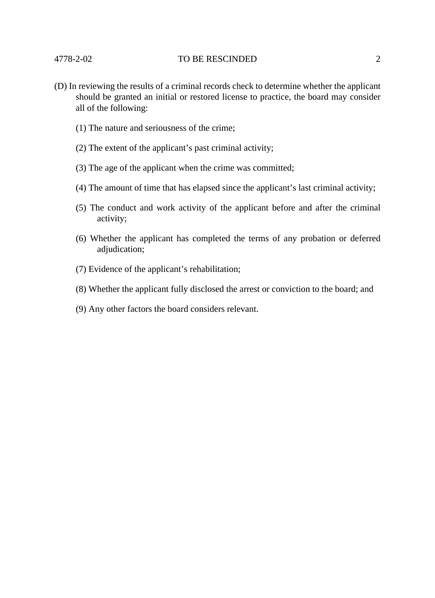## 4778-2-02 TO BE RESCINDED 2

- (D) In reviewing the results of a criminal records check to determine whether the applicant should be granted an initial or restored license to practice, the board may consider all of the following:
	- (1) The nature and seriousness of the crime;
	- (2) The extent of the applicant's past criminal activity;
	- (3) The age of the applicant when the crime was committed;
	- (4) The amount of time that has elapsed since the applicant's last criminal activity;
	- (5) The conduct and work activity of the applicant before and after the criminal activity;
	- (6) Whether the applicant has completed the terms of any probation or deferred adjudication;
	- (7) Evidence of the applicant's rehabilitation;
	- (8) Whether the applicant fully disclosed the arrest or conviction to the board; and
	- (9) Any other factors the board considers relevant.